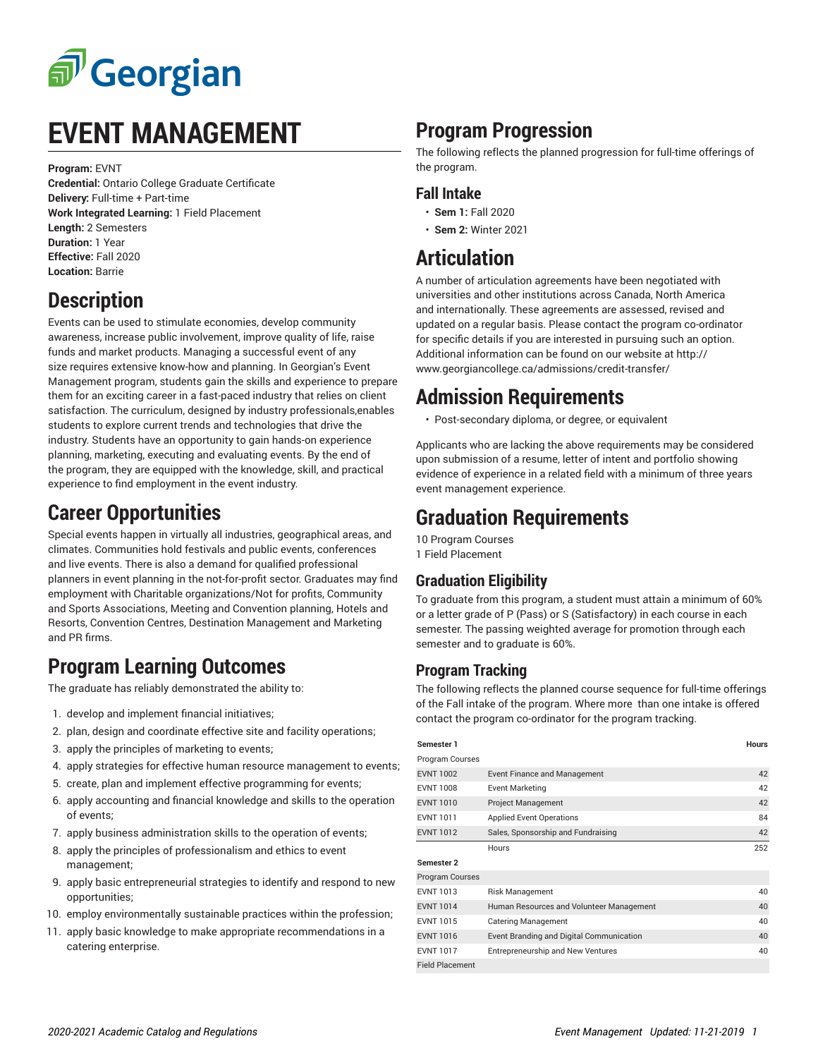

## **EVENT MANAGEMENT**

**Program:** EVNT

**Credential:** Ontario College Graduate Certificate **Delivery:** Full-time + Part-time **Work Integrated Learning:** 1 Field Placement **Length:** 2 Semesters **Duration:** 1 Year **Effective:** Fall 2020 **Location:** Barrie

## **Description**

Events can be used to stimulate economies, develop community awareness, increase public involvement, improve quality of life, raise funds and market products. Managing a successful event of any size requires extensive know-how and planning. In Georgian's Event Management program, students gain the skills and experience to prepare them for an exciting career in a fast-paced industry that relies on client satisfaction. The curriculum, designed by industry professionals,enables students to explore current trends and technologies that drive the industry. Students have an opportunity to gain hands-on experience planning, marketing, executing and evaluating events. By the end of the program, they are equipped with the knowledge, skill, and practical experience to find employment in the event industry.

#### **Career Opportunities**

Special events happen in virtually all industries, geographical areas, and climates. Communities hold festivals and public events, conferences and live events. There is also a demand for qualified professional planners in event planning in the not-for-profit sector. Graduates may find employment with Charitable organizations/Not for profits, Community and Sports Associations, Meeting and Convention planning, Hotels and Resorts, Convention Centres, Destination Management and Marketing and PR firms.

## **Program Learning Outcomes**

The graduate has reliably demonstrated the ability to:

- 1. develop and implement financial initiatives;
- 2. plan, design and coordinate effective site and facility operations;
- 3. apply the principles of marketing to events;
- 4. apply strategies for effective human resource management to events;
- 5. create, plan and implement effective programming for events;
- 6. apply accounting and financial knowledge and skills to the operation of events;
- 7. apply business administration skills to the operation of events;
- 8. apply the principles of professionalism and ethics to event management;
- 9. apply basic entrepreneurial strategies to identify and respond to new opportunities;
- 10. employ environmentally sustainable practices within the profession;
- 11. apply basic knowledge to make appropriate recommendations in a catering enterprise.

## **Program Progression**

The following reflects the planned progression for full-time offerings of the program.

#### **Fall Intake**

- **Sem 1:** Fall 2020
- **Sem 2:** Winter 2021

#### **Articulation**

A number of articulation agreements have been negotiated with universities and other institutions across Canada, North America and internationally. These agreements are assessed, revised and updated on a regular basis. Please contact the program co-ordinator for specific details if you are interested in pursuing such an option. Additional information can be found on our website at http:// www.georgiancollege.ca/admissions/credit-transfer/

#### **Admission Requirements**

• Post-secondary diploma, or degree, or equivalent

Applicants who are lacking the above requirements may be considered upon submission of a resume, letter of intent and portfolio showing evidence of experience in a related field with a minimum of three years event management experience.

#### **Graduation Requirements**

10 Program Courses 1 Field Placement

#### **Graduation Eligibility**

To graduate from this program, a student must attain a minimum of 60% or a letter grade of P (Pass) or S (Satisfactory) in each course in each semester. The passing weighted average for promotion through each semester and to graduate is 60%.

#### **Program Tracking**

The following reflects the planned course sequence for full-time offerings of the Fall intake of the program. Where more than one intake is offered contact the program co-ordinator for the program tracking.

| Semester 1             |                                          | <b>Hours</b> |
|------------------------|------------------------------------------|--------------|
| Program Courses        |                                          |              |
| <b>EVNT 1002</b>       | <b>Event Finance and Management</b>      | 42           |
| <b>EVNT 1008</b>       | <b>Event Marketing</b>                   | 42           |
| <b>EVNT 1010</b>       | <b>Project Management</b>                | 42           |
| <b>EVNT 1011</b>       | <b>Applied Event Operations</b>          | 84           |
| <b>EVNT 1012</b>       | Sales, Sponsorship and Fundraising       | 42           |
|                        | Hours                                    | 252          |
| Semester 2             |                                          |              |
| Program Courses        |                                          |              |
| <b>EVNT 1013</b>       | Risk Management                          | 40           |
| <b>EVNT 1014</b>       | Human Resources and Volunteer Management | 40           |
| <b>EVNT 1015</b>       | <b>Catering Management</b>               | 40           |
| <b>EVNT 1016</b>       | Event Branding and Digital Communication | 40           |
| <b>EVNT 1017</b>       | Entrepreneurship and New Ventures        | 40           |
| <b>Field Placement</b> |                                          |              |